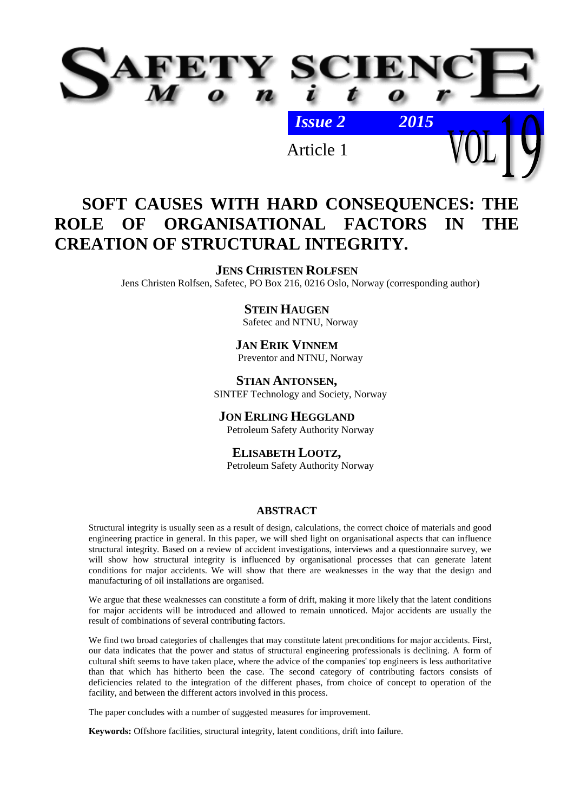

# Article 1

# **SOFT CAUSES WITH HARD CONSEQUENCES: THE ROLE OF ORGANISATIONAL FACTORS IN THE CREATION OF STRUCTURAL INTEGRITY.**

# **JENS CHRISTEN ROLFSEN**

Jens Christen Rolfsen, Safetec, PO Box 216, 0216 Oslo, Norway (corresponding author)

# **STEIN HAUGEN**

Safetec and NTNU, Norway

# **JAN ERIK VINNEM**

Preventor and NTNU, Norway

**STIAN ANTONSEN,** SINTEF Technology and Society, Norway

**JON ERLING HEGGLAND** Petroleum Safety Authority Norway

# **ELISABETH LOOTZ,**

Petroleum Safety Authority Norway

# **ABSTRACT**

Structural integrity is usually seen as a result of design, calculations, the correct choice of materials and good engineering practice in general. In this paper, we will shed light on organisational aspects that can influence structural integrity. Based on a review of accident investigations, interviews and a questionnaire survey, we will show how structural integrity is influenced by organisational processes that can generate latent conditions for major accidents. We will show that there are weaknesses in the way that the design and manufacturing of oil installations are organised.

We argue that these weaknesses can constitute a form of drift, making it more likely that the latent conditions for major accidents will be introduced and allowed to remain unnoticed. Major accidents are usually the result of combinations of several contributing factors.

We find two broad categories of challenges that may constitute latent preconditions for major accidents. First, our data indicates that the power and status of structural engineering professionals is declining. A form of cultural shift seems to have taken place, where the advice of the companies' top engineers is less authoritative than that which has hitherto been the case. The second category of contributing factors consists of deficiencies related to the integration of the different phases, from choice of concept to operation of the facility, and between the different actors involved in this process.

The paper concludes with a number of suggested measures for improvement.

**Keywords:** Offshore facilities, structural integrity, latent conditions, drift into failure.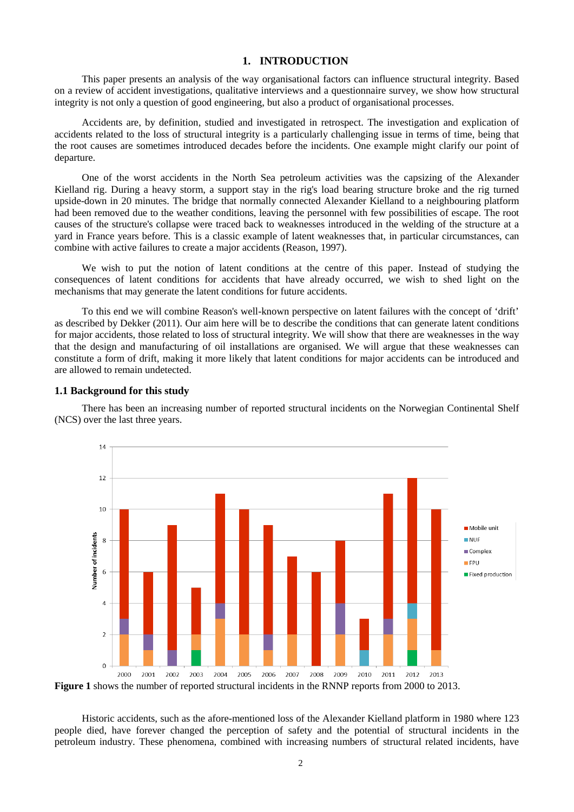# **1. INTRODUCTION**

This paper presents an analysis of the way organisational factors can influence structural integrity. Based on a review of accident investigations, qualitative interviews and a questionnaire survey, we show how structural integrity is not only a question of good engineering, but also a product of organisational processes.

Accidents are, by definition, studied and investigated in retrospect. The investigation and explication of accidents related to the loss of structural integrity is a particularly challenging issue in terms of time, being that the root causes are sometimes introduced decades before the incidents. One example might clarify our point of departure.

One of the worst accidents in the North Sea petroleum activities was the capsizing of the Alexander Kielland rig. During a heavy storm, a support stay in the rig's load bearing structure broke and the rig turned upside-down in 20 minutes. The bridge that normally connected Alexander Kielland to a neighbouring platform had been removed due to the weather conditions, leaving the personnel with few possibilities of escape. The root causes of the structure's collapse were traced back to weaknesses introduced in the welding of the structure at a yard in France years before. This is a classic example of latent weaknesses that, in particular circumstances, can combine with active failures to create a major accidents (Reason, 1997).

We wish to put the notion of latent conditions at the centre of this paper. Instead of studying the consequences of latent conditions for accidents that have already occurred, we wish to shed light on the mechanisms that may generate the latent conditions for future accidents.

To this end we will combine Reason's well-known perspective on latent failures with the concept of 'drift' as described by Dekker (2011). Our aim here will be to describe the conditions that can generate latent conditions for major accidents, those related to loss of structural integrity. We will show that there are weaknesses in the way that the design and manufacturing of oil installations are organised. We will argue that these weaknesses can constitute a form of drift, making it more likely that latent conditions for major accidents can be introduced and are allowed to remain undetected.

#### **1.1 Background for this study**

There has been an increasing number of reported structural incidents on the Norwegian Continental Shelf (NCS) over the last three years.



**Figure 1** shows the number of reported structural incidents in the RNNP reports from 2000 to 2013.

Historic accidents, such as the afore-mentioned loss of the Alexander Kielland platform in 1980 where 123 people died, have forever changed the perception of safety and the potential of structural incidents in the petroleum industry. These phenomena, combined with increasing numbers of structural related incidents, have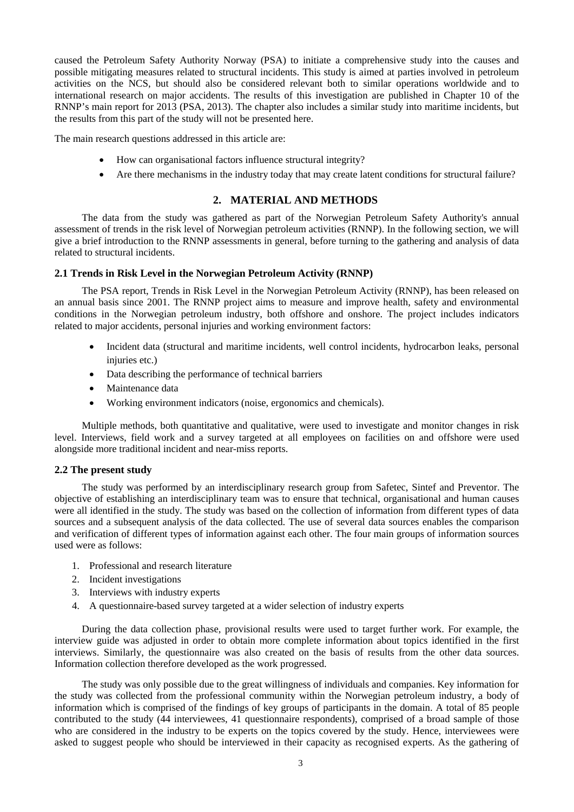caused the Petroleum Safety Authority Norway (PSA) to initiate a comprehensive study into the causes and possible mitigating measures related to structural incidents. This study is aimed at parties involved in petroleum activities on the NCS, but should also be considered relevant both to similar operations worldwide and to international research on major accidents. The results of this investigation are published in Chapter 10 of the RNNP's main report for 2013 (PSA, 2013). The chapter also includes a similar study into maritime incidents, but the results from this part of the study will not be presented here.

The main research questions addressed in this article are:

- How can organisational factors influence structural integrity?
- Are there mechanisms in the industry today that may create latent conditions for structural failure?

# **2. MATERIAL AND METHODS**

The data from the study was gathered as part of the Norwegian Petroleum Safety Authority's annual assessment of trends in the risk level of Norwegian petroleum activities (RNNP). In the following section, we will give a brief introduction to the RNNP assessments in general, before turning to the gathering and analysis of data related to structural incidents.

#### **2.1 Trends in Risk Level in the Norwegian Petroleum Activity (RNNP)**

The PSA report, Trends in Risk Level in the Norwegian Petroleum Activity (RNNP), has been released on an annual basis since 2001. The RNNP project aims to measure and improve health, safety and environmental conditions in the Norwegian petroleum industry, both offshore and onshore. The project includes indicators related to major accidents, personal injuries and working environment factors:

- Incident data (structural and maritime incidents, well control incidents, hydrocarbon leaks, personal injuries etc.)
- Data describing the performance of technical barriers
- Maintenance data
- Working environment indicators (noise, ergonomics and chemicals).

Multiple methods, both quantitative and qualitative, were used to investigate and monitor changes in risk level. Interviews, field work and a survey targeted at all employees on facilities on and offshore were used alongside more traditional incident and near-miss reports.

#### **2.2 The present study**

The study was performed by an interdisciplinary research group from Safetec, Sintef and Preventor. The objective of establishing an interdisciplinary team was to ensure that technical, organisational and human causes were all identified in the study. The study was based on the collection of information from different types of data sources and a subsequent analysis of the data collected. The use of several data sources enables the comparison and verification of different types of information against each other. The four main groups of information sources used were as follows:

- 1. Professional and research literature
- 2. Incident investigations
- 3. Interviews with industry experts
- 4. A questionnaire-based survey targeted at a wider selection of industry experts

During the data collection phase, provisional results were used to target further work. For example, the interview guide was adjusted in order to obtain more complete information about topics identified in the first interviews. Similarly, the questionnaire was also created on the basis of results from the other data sources. Information collection therefore developed as the work progressed.

The study was only possible due to the great willingness of individuals and companies. Key information for the study was collected from the professional community within the Norwegian petroleum industry, a body of information which is comprised of the findings of key groups of participants in the domain. A total of 85 people contributed to the study (44 interviewees, 41 questionnaire respondents), comprised of a broad sample of those who are considered in the industry to be experts on the topics covered by the study. Hence, interviewees were asked to suggest people who should be interviewed in their capacity as recognised experts. As the gathering of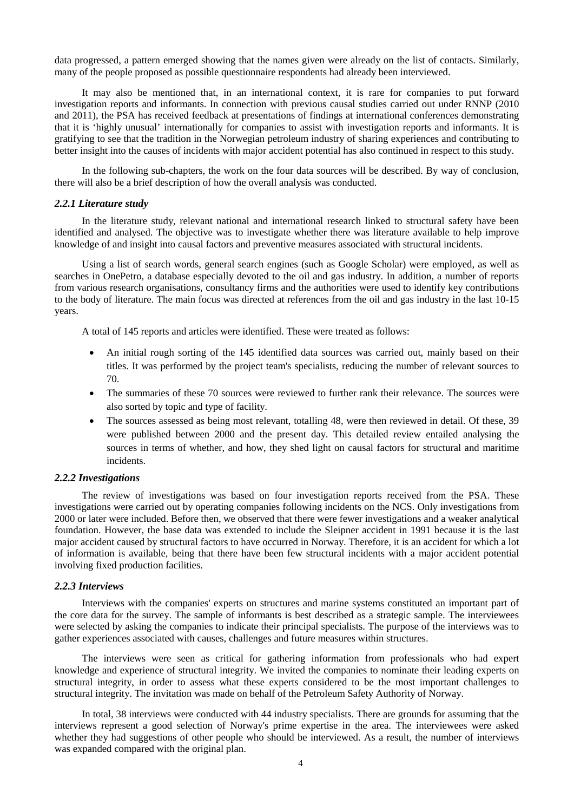data progressed, a pattern emerged showing that the names given were already on the list of contacts. Similarly, many of the people proposed as possible questionnaire respondents had already been interviewed.

It may also be mentioned that, in an international context, it is rare for companies to put forward investigation reports and informants. In connection with previous causal studies carried out under RNNP (2010 and 2011), the PSA has received feedback at presentations of findings at international conferences demonstrating that it is 'highly unusual' internationally for companies to assist with investigation reports and informants. It is gratifying to see that the tradition in the Norwegian petroleum industry of sharing experiences and contributing to better insight into the causes of incidents with major accident potential has also continued in respect to this study.

In the following sub-chapters, the work on the four data sources will be described. By way of conclusion, there will also be a brief description of how the overall analysis was conducted.

#### *2.2.1 Literature study*

In the literature study, relevant national and international research linked to structural safety have been identified and analysed. The objective was to investigate whether there was literature available to help improve knowledge of and insight into causal factors and preventive measures associated with structural incidents.

Using a list of search words, general search engines (such as Google Scholar) were employed, as well as searches in OnePetro, a database especially devoted to the oil and gas industry. In addition, a number of reports from various research organisations, consultancy firms and the authorities were used to identify key contributions to the body of literature. The main focus was directed at references from the oil and gas industry in the last 10-15 years.

A total of 145 reports and articles were identified. These were treated as follows:

- An initial rough sorting of the 145 identified data sources was carried out, mainly based on their titles. It was performed by the project team's specialists, reducing the number of relevant sources to 70.
- The summaries of these 70 sources were reviewed to further rank their relevance. The sources were also sorted by topic and type of facility.
- The sources assessed as being most relevant, totalling 48, were then reviewed in detail. Of these, 39 were published between 2000 and the present day. This detailed review entailed analysing the sources in terms of whether, and how, they shed light on causal factors for structural and maritime incidents.

#### *2.2.2 Investigations*

The review of investigations was based on four investigation reports received from the PSA. These investigations were carried out by operating companies following incidents on the NCS. Only investigations from 2000 or later were included. Before then, we observed that there were fewer investigations and a weaker analytical foundation. However, the base data was extended to include the Sleipner accident in 1991 because it is the last major accident caused by structural factors to have occurred in Norway. Therefore, it is an accident for which a lot of information is available, being that there have been few structural incidents with a major accident potential involving fixed production facilities.

#### *2.2.3 Interviews*

Interviews with the companies' experts on structures and marine systems constituted an important part of the core data for the survey. The sample of informants is best described as a strategic sample. The interviewees were selected by asking the companies to indicate their principal specialists. The purpose of the interviews was to gather experiences associated with causes, challenges and future measures within structures.

The interviews were seen as critical for gathering information from professionals who had expert knowledge and experience of structural integrity. We invited the companies to nominate their leading experts on structural integrity, in order to assess what these experts considered to be the most important challenges to structural integrity. The invitation was made on behalf of the Petroleum Safety Authority of Norway.

In total, 38 interviews were conducted with 44 industry specialists. There are grounds for assuming that the interviews represent a good selection of Norway's prime expertise in the area. The interviewees were asked whether they had suggestions of other people who should be interviewed. As a result, the number of interviews was expanded compared with the original plan.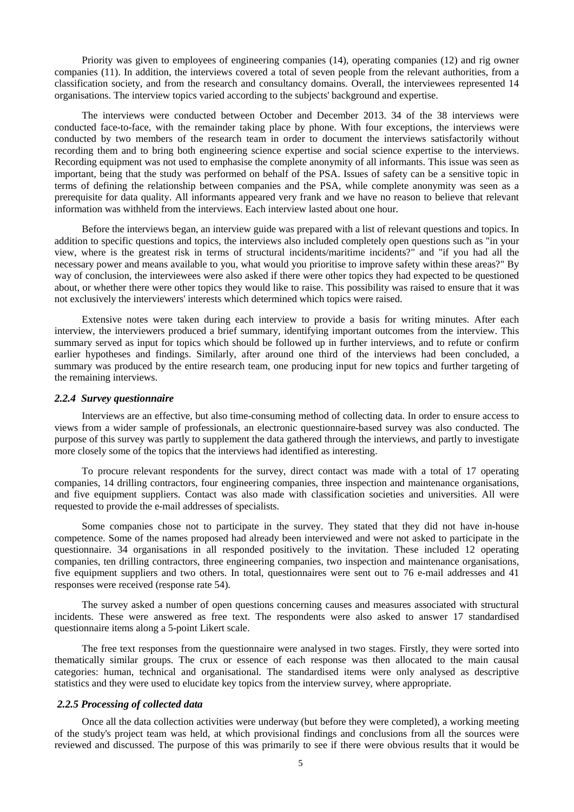Priority was given to employees of engineering companies (14), operating companies (12) and rig owner companies (11). In addition, the interviews covered a total of seven people from the relevant authorities, from a classification society, and from the research and consultancy domains. Overall, the interviewees represented 14 organisations. The interview topics varied according to the subjects' background and expertise.

The interviews were conducted between October and December 2013. 34 of the 38 interviews were conducted face-to-face, with the remainder taking place by phone. With four exceptions, the interviews were conducted by two members of the research team in order to document the interviews satisfactorily without recording them and to bring both engineering science expertise and social science expertise to the interviews. Recording equipment was not used to emphasise the complete anonymity of all informants. This issue was seen as important, being that the study was performed on behalf of the PSA. Issues of safety can be a sensitive topic in terms of defining the relationship between companies and the PSA, while complete anonymity was seen as a prerequisite for data quality. All informants appeared very frank and we have no reason to believe that relevant information was withheld from the interviews. Each interview lasted about one hour.

Before the interviews began, an interview guide was prepared with a list of relevant questions and topics. In addition to specific questions and topics, the interviews also included completely open questions such as "in your view, where is the greatest risk in terms of structural incidents/maritime incidents?" and "if you had all the necessary power and means available to you, what would you prioritise to improve safety within these areas?" By way of conclusion, the interviewees were also asked if there were other topics they had expected to be questioned about, or whether there were other topics they would like to raise. This possibility was raised to ensure that it was not exclusively the interviewers' interests which determined which topics were raised.

Extensive notes were taken during each interview to provide a basis for writing minutes. After each interview, the interviewers produced a brief summary, identifying important outcomes from the interview. This summary served as input for topics which should be followed up in further interviews, and to refute or confirm earlier hypotheses and findings. Similarly, after around one third of the interviews had been concluded, a summary was produced by the entire research team, one producing input for new topics and further targeting of the remaining interviews.

#### *2.2.4 Survey questionnaire*

Interviews are an effective, but also time-consuming method of collecting data. In order to ensure access to views from a wider sample of professionals, an electronic questionnaire-based survey was also conducted. The purpose of this survey was partly to supplement the data gathered through the interviews, and partly to investigate more closely some of the topics that the interviews had identified as interesting.

To procure relevant respondents for the survey, direct contact was made with a total of 17 operating companies, 14 drilling contractors, four engineering companies, three inspection and maintenance organisations, and five equipment suppliers. Contact was also made with classification societies and universities. All were requested to provide the e-mail addresses of specialists.

Some companies chose not to participate in the survey. They stated that they did not have in-house competence. Some of the names proposed had already been interviewed and were not asked to participate in the questionnaire. 34 organisations in all responded positively to the invitation. These included 12 operating companies, ten drilling contractors, three engineering companies, two inspection and maintenance organisations, five equipment suppliers and two others. In total, questionnaires were sent out to 76 e-mail addresses and 41 responses were received (response rate 54).

The survey asked a number of open questions concerning causes and measures associated with structural incidents. These were answered as free text. The respondents were also asked to answer 17 standardised questionnaire items along a 5-point Likert scale.

The free text responses from the questionnaire were analysed in two stages. Firstly, they were sorted into thematically similar groups. The crux or essence of each response was then allocated to the main causal categories: human, technical and organisational. The standardised items were only analysed as descriptive statistics and they were used to elucidate key topics from the interview survey, where appropriate.

#### *2.2.5 Processing of collected data*

Once all the data collection activities were underway (but before they were completed), a working meeting of the study's project team was held, at which provisional findings and conclusions from all the sources were reviewed and discussed. The purpose of this was primarily to see if there were obvious results that it would be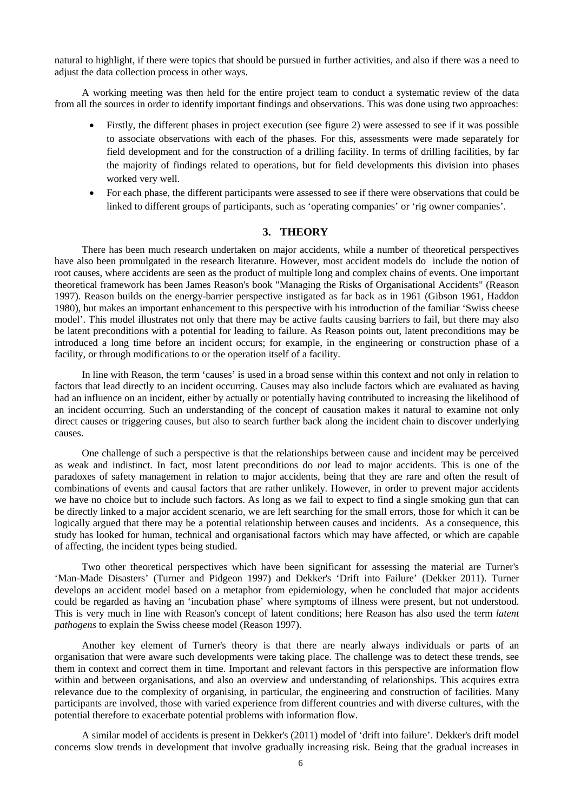natural to highlight, if there were topics that should be pursued in further activities, and also if there was a need to adjust the data collection process in other ways.

A working meeting was then held for the entire project team to conduct a systematic review of the data from all the sources in order to identify important findings and observations. This was done using two approaches:

- Firstly, the different phases in project execution (see figure 2) were assessed to see if it was possible to associate observations with each of the phases. For this, assessments were made separately for field development and for the construction of a drilling facility. In terms of drilling facilities, by far the majority of findings related to operations, but for field developments this division into phases worked very well.
- For each phase, the different participants were assessed to see if there were observations that could be linked to different groups of participants, such as 'operating companies' or 'rig owner companies'.

### **3. THEORY**

There has been much research undertaken on major accidents, while a number of theoretical perspectives have also been promulgated in the research literature. However, most accident models do include the notion of root causes, where accidents are seen as the product of multiple long and complex chains of events. One important theoretical framework has been James Reason's book "Managing the Risks of Organisational Accidents" (Reason 1997). Reason builds on the energy-barrier perspective instigated as far back as in 1961 (Gibson 1961, Haddon 1980), but makes an important enhancement to this perspective with his introduction of the familiar 'Swiss cheese model'. This model illustrates not only that there may be active faults causing barriers to fail, but there may also be latent preconditions with a potential for leading to failure. As Reason points out, latent preconditions may be introduced a long time before an incident occurs; for example, in the engineering or construction phase of a facility, or through modifications to or the operation itself of a facility.

In line with Reason, the term 'causes' is used in a broad sense within this context and not only in relation to factors that lead directly to an incident occurring. Causes may also include factors which are evaluated as having had an influence on an incident, either by actually or potentially having contributed to increasing the likelihood of an incident occurring. Such an understanding of the concept of causation makes it natural to examine not only direct causes or triggering causes, but also to search further back along the incident chain to discover underlying causes.

One challenge of such a perspective is that the relationships between cause and incident may be perceived as weak and indistinct. In fact, most latent preconditions do *not* lead to major accidents. This is one of the paradoxes of safety management in relation to major accidents, being that they are rare and often the result of combinations of events and causal factors that are rather unlikely. However, in order to prevent major accidents we have no choice but to include such factors. As long as we fail to expect to find a single smoking gun that can be directly linked to a major accident scenario, we are left searching for the small errors, those for which it can be logically argued that there may be a potential relationship between causes and incidents. As a consequence, this study has looked for human, technical and organisational factors which may have affected, or which are capable of affecting, the incident types being studied.

Two other theoretical perspectives which have been significant for assessing the material are Turner's 'Man-Made Disasters' (Turner and Pidgeon 1997) and Dekker's 'Drift into Failure' (Dekker 2011). Turner develops an accident model based on a metaphor from epidemiology, when he concluded that major accidents could be regarded as having an 'incubation phase' where symptoms of illness were present, but not understood. This is very much in line with Reason's concept of latent conditions; here Reason has also used the term *latent pathogens* to explain the Swiss cheese model (Reason 1997).

Another key element of Turner's theory is that there are nearly always individuals or parts of an organisation that were aware such developments were taking place. The challenge was to detect these trends, see them in context and correct them in time. Important and relevant factors in this perspective are information flow within and between organisations, and also an overview and understanding of relationships. This acquires extra relevance due to the complexity of organising, in particular, the engineering and construction of facilities. Many participants are involved, those with varied experience from different countries and with diverse cultures, with the potential therefore to exacerbate potential problems with information flow.

A similar model of accidents is present in Dekker's (2011) model of 'drift into failure'. Dekker's drift model concerns slow trends in development that involve gradually increasing risk. Being that the gradual increases in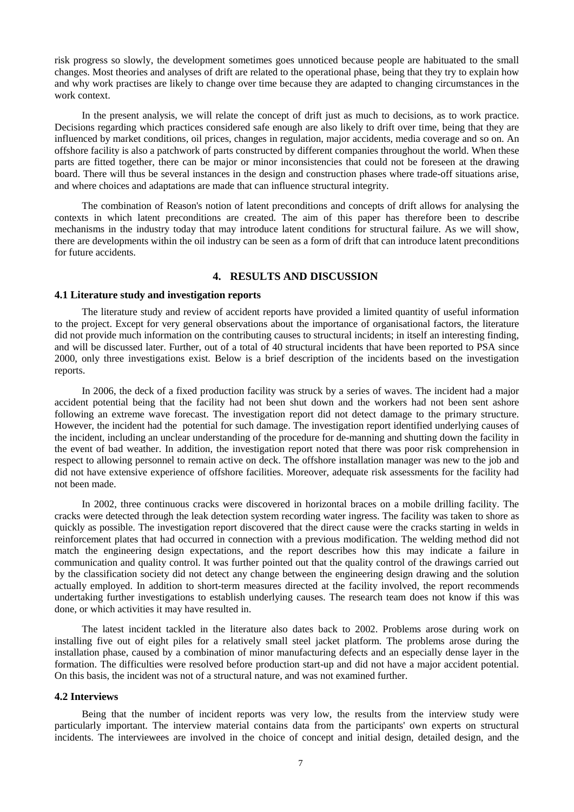risk progress so slowly, the development sometimes goes unnoticed because people are habituated to the small changes. Most theories and analyses of drift are related to the operational phase, being that they try to explain how and why work practises are likely to change over time because they are adapted to changing circumstances in the work context.

In the present analysis, we will relate the concept of drift just as much to decisions, as to work practice. Decisions regarding which practices considered safe enough are also likely to drift over time, being that they are influenced by market conditions, oil prices, changes in regulation, major accidents, media coverage and so on. An offshore facility is also a patchwork of parts constructed by different companies throughout the world. When these parts are fitted together, there can be major or minor inconsistencies that could not be foreseen at the drawing board. There will thus be several instances in the design and construction phases where trade-off situations arise, and where choices and adaptations are made that can influence structural integrity.

The combination of Reason's notion of latent preconditions and concepts of drift allows for analysing the contexts in which latent preconditions are created. The aim of this paper has therefore been to describe mechanisms in the industry today that may introduce latent conditions for structural failure. As we will show, there are developments within the oil industry can be seen as a form of drift that can introduce latent preconditions for future accidents.

# **4. RESULTS AND DISCUSSION**

#### **4.1 Literature study and investigation reports**

The literature study and review of accident reports have provided a limited quantity of useful information to the project. Except for very general observations about the importance of organisational factors, the literature did not provide much information on the contributing causes to structural incidents; in itself an interesting finding, and will be discussed later. Further, out of a total of 40 structural incidents that have been reported to PSA since 2000, only three investigations exist. Below is a brief description of the incidents based on the investigation reports.

In 2006, the deck of a fixed production facility was struck by a series of waves. The incident had a major accident potential being that the facility had not been shut down and the workers had not been sent ashore following an extreme wave forecast. The investigation report did not detect damage to the primary structure. However, the incident had the potential for such damage. The investigation report identified underlying causes of the incident, including an unclear understanding of the procedure for de-manning and shutting down the facility in the event of bad weather. In addition, the investigation report noted that there was poor risk comprehension in respect to allowing personnel to remain active on deck. The offshore installation manager was new to the job and did not have extensive experience of offshore facilities. Moreover, adequate risk assessments for the facility had not been made.

In 2002, three continuous cracks were discovered in horizontal braces on a mobile drilling facility. The cracks were detected through the leak detection system recording water ingress. The facility was taken to shore as quickly as possible. The investigation report discovered that the direct cause were the cracks starting in welds in reinforcement plates that had occurred in connection with a previous modification. The welding method did not match the engineering design expectations, and the report describes how this may indicate a failure in communication and quality control. It was further pointed out that the quality control of the drawings carried out by the classification society did not detect any change between the engineering design drawing and the solution actually employed. In addition to short-term measures directed at the facility involved, the report recommends undertaking further investigations to establish underlying causes. The research team does not know if this was done, or which activities it may have resulted in.

The latest incident tackled in the literature also dates back to 2002. Problems arose during work on installing five out of eight piles for a relatively small steel jacket platform. The problems arose during the installation phase, caused by a combination of minor manufacturing defects and an especially dense layer in the formation. The difficulties were resolved before production start-up and did not have a major accident potential. On this basis, the incident was not of a structural nature, and was not examined further.

#### **4.2 Interviews**

Being that the number of incident reports was very low, the results from the interview study were particularly important. The interview material contains data from the participants' own experts on structural incidents. The interviewees are involved in the choice of concept and initial design, detailed design, and the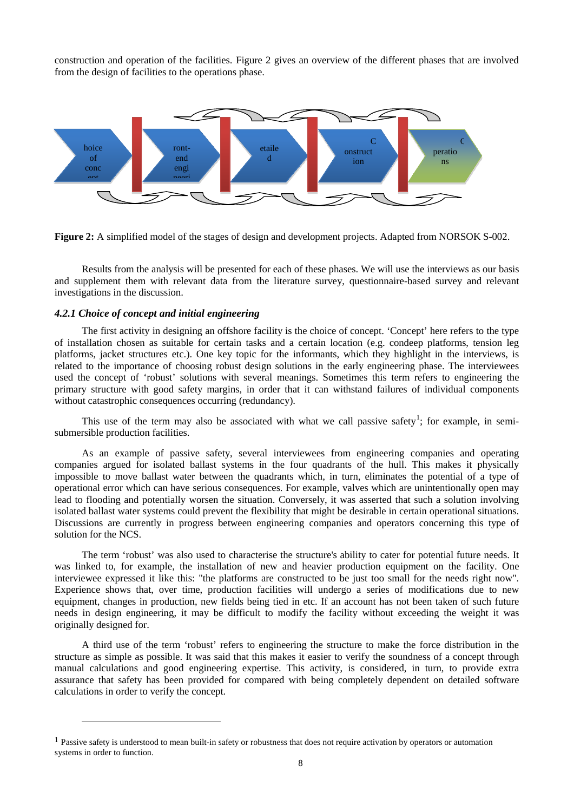construction and operation of the facilities. Figure 2 gives an overview of the different phases that are involved from the design of facilities to the operations phase.



**Figure 2:** A simplified model of the stages of design and development projects. Adapted from NORSOK S-002.

Results from the analysis will be presented for each of these phases. We will use the interviews as our basis and supplement them with relevant data from the literature survey, questionnaire-based survey and relevant investigations in the discussion.

#### *4.2.1 Choice of concept and initial engineering*

 $\ddot{ }$ 

The first activity in designing an offshore facility is the choice of concept. 'Concept' here refers to the type of installation chosen as suitable for certain tasks and a certain location (e.g. condeep platforms, tension leg platforms, jacket structures etc.). One key topic for the informants, which they highlight in the interviews, is related to the importance of choosing robust design solutions in the early engineering phase. The interviewees used the concept of 'robust' solutions with several meanings. Sometimes this term refers to engineering the primary structure with good safety margins, in order that it can withstand failures of individual components without catastrophic consequences occurring (redundancy).

This use of the term may also be associated with what we call passive safety<sup>[1](#page-7-0)</sup>; for example, in semisubmersible production facilities.

As an example of passive safety, several interviewees from engineering companies and operating companies argued for isolated ballast systems in the four quadrants of the hull. This makes it physically impossible to move ballast water between the quadrants which, in turn, eliminates the potential of a type of operational error which can have serious consequences. For example, valves which are unintentionally open may lead to flooding and potentially worsen the situation. Conversely, it was asserted that such a solution involving isolated ballast water systems could prevent the flexibility that might be desirable in certain operational situations. Discussions are currently in progress between engineering companies and operators concerning this type of solution for the NCS.

The term 'robust' was also used to characterise the structure's ability to cater for potential future needs. It was linked to, for example, the installation of new and heavier production equipment on the facility. One interviewee expressed it like this: "the platforms are constructed to be just too small for the needs right now". Experience shows that, over time, production facilities will undergo a series of modifications due to new equipment, changes in production, new fields being tied in etc. If an account has not been taken of such future needs in design engineering, it may be difficult to modify the facility without exceeding the weight it was originally designed for.

A third use of the term 'robust' refers to engineering the structure to make the force distribution in the structure as simple as possible. It was said that this makes it easier to verify the soundness of a concept through manual calculations and good engineering expertise. This activity, is considered, in turn, to provide extra assurance that safety has been provided for compared with being completely dependent on detailed software calculations in order to verify the concept.

<span id="page-7-0"></span><sup>&</sup>lt;sup>1</sup> Passive safety is understood to mean built-in safety or robustness that does not require activation by operators or automation systems in order to function.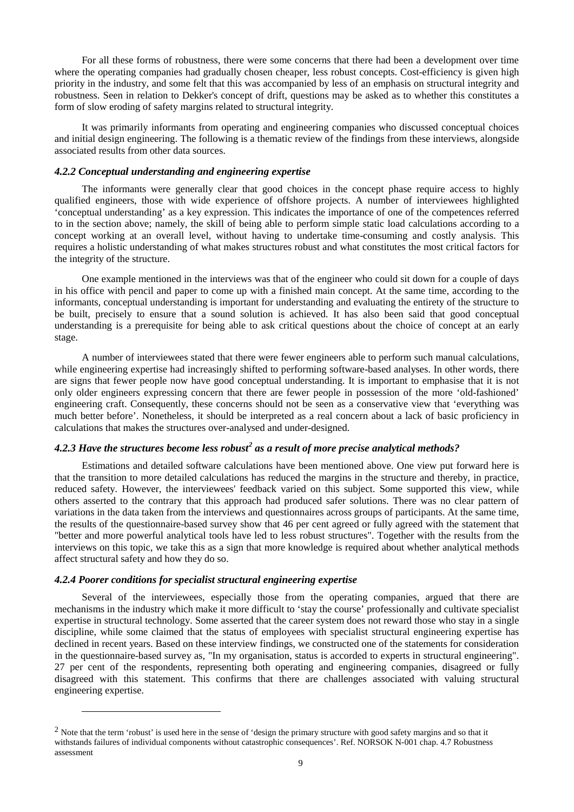For all these forms of robustness, there were some concerns that there had been a development over time where the operating companies had gradually chosen cheaper, less robust concepts. Cost-efficiency is given high priority in the industry, and some felt that this was accompanied by less of an emphasis on structural integrity and robustness. Seen in relation to Dekker's concept of drift, questions may be asked as to whether this constitutes a form of slow eroding of safety margins related to structural integrity.

It was primarily informants from operating and engineering companies who discussed conceptual choices and initial design engineering. The following is a thematic review of the findings from these interviews, alongside associated results from other data sources.

#### *4.2.2 Conceptual understanding and engineering expertise*

The informants were generally clear that good choices in the concept phase require access to highly qualified engineers, those with wide experience of offshore projects. A number of interviewees highlighted 'conceptual understanding' as a key expression. This indicates the importance of one of the competences referred to in the section above; namely, the skill of being able to perform simple static load calculations according to a concept working at an overall level, without having to undertake time-consuming and costly analysis. This requires a holistic understanding of what makes structures robust and what constitutes the most critical factors for the integrity of the structure.

One example mentioned in the interviews was that of the engineer who could sit down for a couple of days in his office with pencil and paper to come up with a finished main concept. At the same time, according to the informants, conceptual understanding is important for understanding and evaluating the entirety of the structure to be built, precisely to ensure that a sound solution is achieved. It has also been said that good conceptual understanding is a prerequisite for being able to ask critical questions about the choice of concept at an early stage.

A number of interviewees stated that there were fewer engineers able to perform such manual calculations, while engineering expertise had increasingly shifted to performing software-based analyses. In other words, there are signs that fewer people now have good conceptual understanding. It is important to emphasise that it is not only older engineers expressing concern that there are fewer people in possession of the more 'old-fashioned' engineering craft. Consequently, these concerns should not be seen as a conservative view that 'everything was much better before'. Nonetheless, it should be interpreted as a real concern about a lack of basic proficiency in calculations that makes the structures over-analysed and under-designed.

# *4.2.3 Have the structures become less robust[2](#page-8-0) as a result of more precise analytical methods?*

Estimations and detailed software calculations have been mentioned above. One view put forward here is that the transition to more detailed calculations has reduced the margins in the structure and thereby, in practice, reduced safety. However, the interviewees' feedback varied on this subject. Some supported this view, while others asserted to the contrary that this approach had produced safer solutions. There was no clear pattern of variations in the data taken from the interviews and questionnaires across groups of participants. At the same time, the results of the questionnaire-based survey show that 46 per cent agreed or fully agreed with the statement that "better and more powerful analytical tools have led to less robust structures". Together with the results from the interviews on this topic, we take this as a sign that more knowledge is required about whether analytical methods affect structural safety and how they do so.

#### *4.2.4 Poorer conditions for specialist structural engineering expertise*

 $\ddot{ }$ 

Several of the interviewees, especially those from the operating companies, argued that there are mechanisms in the industry which make it more difficult to 'stay the course' professionally and cultivate specialist expertise in structural technology. Some asserted that the career system does not reward those who stay in a single discipline, while some claimed that the status of employees with specialist structural engineering expertise has declined in recent years. Based on these interview findings, we constructed one of the statements for consideration in the questionnaire-based survey as, "In my organisation, status is accorded to experts in structural engineering". 27 per cent of the respondents, representing both operating and engineering companies, disagreed or fully disagreed with this statement. This confirms that there are challenges associated with valuing structural engineering expertise.

<span id="page-8-0"></span><sup>&</sup>lt;sup>2</sup> Note that the term 'robust' is used here in the sense of 'design the primary structure with good safety margins and so that it withstands failures of individual components without catastrophic consequences'. Ref. NORSOK N-001 chap. 4.7 Robustness assessment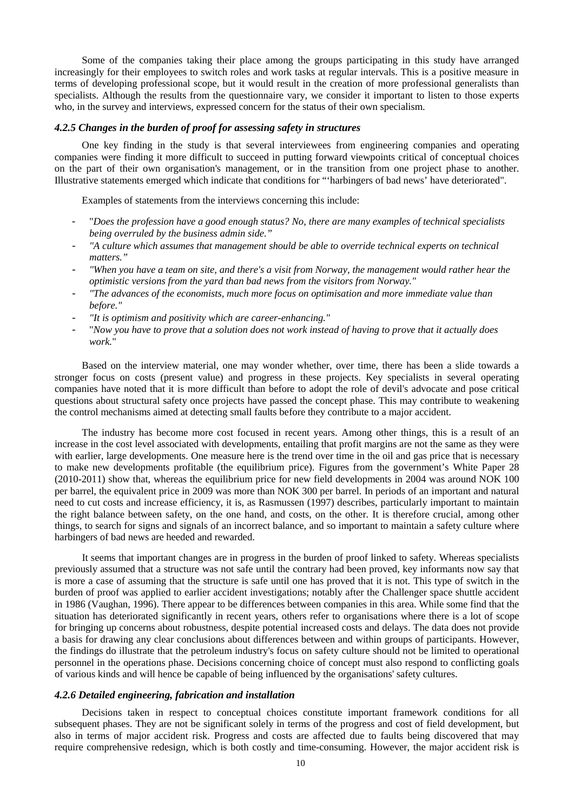Some of the companies taking their place among the groups participating in this study have arranged increasingly for their employees to switch roles and work tasks at regular intervals. This is a positive measure in terms of developing professional scope, but it would result in the creation of more professional generalists than specialists. Although the results from the questionnaire vary, we consider it important to listen to those experts who, in the survey and interviews, expressed concern for the status of their own specialism.

### *4.2.5 Changes in the burden of proof for assessing safety in structures*

One key finding in the study is that several interviewees from engineering companies and operating companies were finding it more difficult to succeed in putting forward viewpoints critical of conceptual choices on the part of their own organisation's management, or in the transition from one project phase to another. Illustrative statements emerged which indicate that conditions for "'harbingers of bad news' have deteriorated".

Examples of statements from the interviews concerning this include:

- "*Does the profession have a good enough status? No, there are many examples of technical specialists being overruled by the business admin side."*
- *"A culture which assumes that management should be able to override technical experts on technical matters."*
- *"When you have a team on site, and there's a visit from Norway, the management would rather hear the optimistic versions from the yard than bad news from the visitors from Norway."*
- *"The advances of the economists, much more focus on optimisation and more immediate value than before."*
- *"It is optimism and positivity which are career-enhancing."*
- "*Now you have to prove that a solution does not work instead of having to prove that it actually does work.*"

Based on the interview material, one may wonder whether, over time, there has been a slide towards a stronger focus on costs (present value) and progress in these projects. Key specialists in several operating companies have noted that it is more difficult than before to adopt the role of devil's advocate and pose critical questions about structural safety once projects have passed the concept phase. This may contribute to weakening the control mechanisms aimed at detecting small faults before they contribute to a major accident.

The industry has become more cost focused in recent years. Among other things, this is a result of an increase in the cost level associated with developments, entailing that profit margins are not the same as they were with earlier, large developments. One measure here is the trend over time in the oil and gas price that is necessary to make new developments profitable (the equilibrium price). Figures from the government's White Paper 28 (2010-2011) show that, whereas the equilibrium price for new field developments in 2004 was around NOK 100 per barrel, the equivalent price in 2009 was more than NOK 300 per barrel. In periods of an important and natural need to cut costs and increase efficiency, it is, as Rasmussen (1997) describes, particularly important to maintain the right balance between safety, on the one hand, and costs, on the other. It is therefore crucial, among other things, to search for signs and signals of an incorrect balance, and so important to maintain a safety culture where harbingers of bad news are heeded and rewarded.

It seems that important changes are in progress in the burden of proof linked to safety. Whereas specialists previously assumed that a structure was not safe until the contrary had been proved, key informants now say that is more a case of assuming that the structure is safe until one has proved that it is not. This type of switch in the burden of proof was applied to earlier accident investigations; notably after the Challenger space shuttle accident in 1986 (Vaughan, 1996). There appear to be differences between companies in this area. While some find that the situation has deteriorated significantly in recent years, others refer to organisations where there is a lot of scope for bringing up concerns about robustness, despite potential increased costs and delays. The data does not provide a basis for drawing any clear conclusions about differences between and within groups of participants. However, the findings do illustrate that the petroleum industry's focus on safety culture should not be limited to operational personnel in the operations phase. Decisions concerning choice of concept must also respond to conflicting goals of various kinds and will hence be capable of being influenced by the organisations' safety cultures.

#### *4.2.6 Detailed engineering, fabrication and installation*

Decisions taken in respect to conceptual choices constitute important framework conditions for all subsequent phases. They are not be significant solely in terms of the progress and cost of field development, but also in terms of major accident risk. Progress and costs are affected due to faults being discovered that may require comprehensive redesign, which is both costly and time-consuming. However, the major accident risk is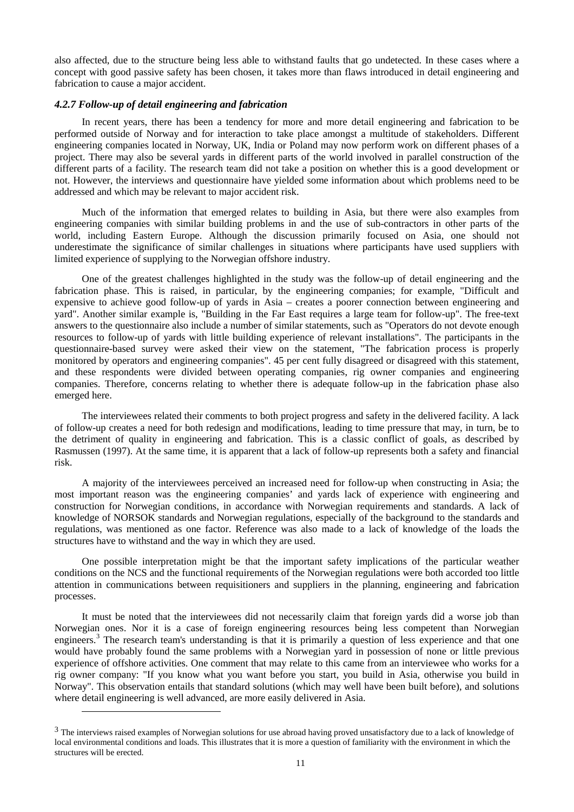also affected, due to the structure being less able to withstand faults that go undetected. In these cases where a concept with good passive safety has been chosen, it takes more than flaws introduced in detail engineering and fabrication to cause a major accident.

### *4.2.7 Follow-up of detail engineering and fabrication*

In recent years, there has been a tendency for more and more detail engineering and fabrication to be performed outside of Norway and for interaction to take place amongst a multitude of stakeholders. Different engineering companies located in Norway, UK, India or Poland may now perform work on different phases of a project. There may also be several yards in different parts of the world involved in parallel construction of the different parts of a facility. The research team did not take a position on whether this is a good development or not. However, the interviews and questionnaire have yielded some information about which problems need to be addressed and which may be relevant to major accident risk.

Much of the information that emerged relates to building in Asia, but there were also examples from engineering companies with similar building problems in and the use of sub-contractors in other parts of the world, including Eastern Europe. Although the discussion primarily focused on Asia, one should not underestimate the significance of similar challenges in situations where participants have used suppliers with limited experience of supplying to the Norwegian offshore industry.

One of the greatest challenges highlighted in the study was the follow-up of detail engineering and the fabrication phase. This is raised, in particular, by the engineering companies; for example, "Difficult and expensive to achieve good follow-up of yards in Asia – creates a poorer connection between engineering and yard". Another similar example is, "Building in the Far East requires a large team for follow-up". The free-text answers to the questionnaire also include a number of similar statements, such as "Operators do not devote enough resources to follow-up of yards with little building experience of relevant installations". The participants in the questionnaire-based survey were asked their view on the statement, "The fabrication process is properly monitored by operators and engineering companies". 45 per cent fully disagreed or disagreed with this statement, and these respondents were divided between operating companies, rig owner companies and engineering companies. Therefore, concerns relating to whether there is adequate follow-up in the fabrication phase also emerged here.

The interviewees related their comments to both project progress and safety in the delivered facility. A lack of follow-up creates a need for both redesign and modifications, leading to time pressure that may, in turn, be to the detriment of quality in engineering and fabrication. This is a classic conflict of goals, as described by Rasmussen (1997). At the same time, it is apparent that a lack of follow-up represents both a safety and financial risk.

A majority of the interviewees perceived an increased need for follow-up when constructing in Asia; the most important reason was the engineering companies' and yards lack of experience with engineering and construction for Norwegian conditions, in accordance with Norwegian requirements and standards. A lack of knowledge of NORSOK standards and Norwegian regulations, especially of the background to the standards and regulations, was mentioned as one factor. Reference was also made to a lack of knowledge of the loads the structures have to withstand and the way in which they are used.

One possible interpretation might be that the important safety implications of the particular weather conditions on the NCS and the functional requirements of the Norwegian regulations were both accorded too little attention in communications between requisitioners and suppliers in the planning, engineering and fabrication processes.

It must be noted that the interviewees did not necessarily claim that foreign yards did a worse job than Norwegian ones. Nor it is a case of foreign engineering resources being less competent than Norwegian engineers.<sup>[3](#page-10-0)</sup> The research team's understanding is that it is primarily a question of less experience and that one would have probably found the same problems with a Norwegian yard in possession of none or little previous experience of offshore activities. One comment that may relate to this came from an interviewee who works for a rig owner company: "If you know what you want before you start, you build in Asia, otherwise you build in Norway". This observation entails that standard solutions (which may well have been built before), and solutions where detail engineering is well advanced, are more easily delivered in Asia.

 $\ddot{ }$ 

<span id="page-10-0"></span><sup>&</sup>lt;sup>3</sup> The interviews raised examples of Norwegian solutions for use abroad having proved unsatisfactory due to a lack of knowledge of local environmental conditions and loads. This illustrates that it is more a question of familiarity with the environment in which the structures will be erected.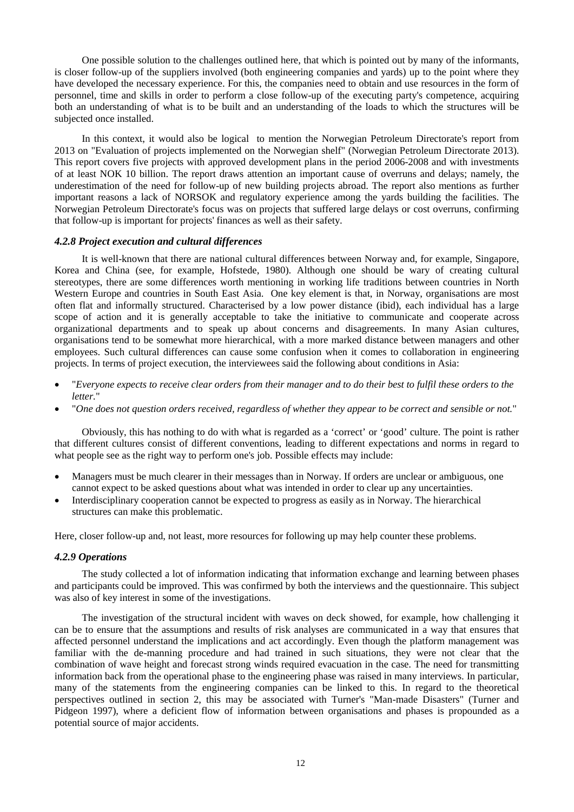One possible solution to the challenges outlined here, that which is pointed out by many of the informants, is closer follow-up of the suppliers involved (both engineering companies and yards) up to the point where they have developed the necessary experience. For this, the companies need to obtain and use resources in the form of personnel, time and skills in order to perform a close follow-up of the executing party's competence, acquiring both an understanding of what is to be built and an understanding of the loads to which the structures will be subjected once installed.

In this context, it would also be logical to mention the Norwegian Petroleum Directorate's report from 2013 on "Evaluation of projects implemented on the Norwegian shelf" (Norwegian Petroleum Directorate 2013). This report covers five projects with approved development plans in the period 2006-2008 and with investments of at least NOK 10 billion. The report draws attention an important cause of overruns and delays; namely, the underestimation of the need for follow-up of new building projects abroad. The report also mentions as further important reasons a lack of NORSOK and regulatory experience among the yards building the facilities. The Norwegian Petroleum Directorate's focus was on projects that suffered large delays or cost overruns, confirming that follow-up is important for projects' finances as well as their safety.

# *4.2.8 Project execution and cultural differences*

It is well-known that there are national cultural differences between Norway and, for example, Singapore, Korea and China (see, for example, Hofstede, 1980). Although one should be wary of creating cultural stereotypes, there are some differences worth mentioning in working life traditions between countries in North Western Europe and countries in South East Asia. One key element is that, in Norway, organisations are most often flat and informally structured. Characterised by a low power distance (ibid), each individual has a large scope of action and it is generally acceptable to take the initiative to communicate and cooperate across organizational departments and to speak up about concerns and disagreements. In many Asian cultures, organisations tend to be somewhat more hierarchical, with a more marked distance between managers and other employees. Such cultural differences can cause some confusion when it comes to collaboration in engineering projects. In terms of project execution, the interviewees said the following about conditions in Asia:

- "*Everyone expects to receive clear orders from their manager and to do their best to fulfil these orders to the letter.*"
- "*One does not question orders received, regardless of whether they appear to be correct and sensible or not.*"

Obviously, this has nothing to do with what is regarded as a 'correct' or 'good' culture. The point is rather that different cultures consist of different conventions, leading to different expectations and norms in regard to what people see as the right way to perform one's job. Possible effects may include:

- Managers must be much clearer in their messages than in Norway. If orders are unclear or ambiguous, one cannot expect to be asked questions about what was intended in order to clear up any uncertainties.
- Interdisciplinary cooperation cannot be expected to progress as easily as in Norway. The hierarchical structures can make this problematic.

Here, closer follow-up and, not least, more resources for following up may help counter these problems.

#### *4.2.9 Operations*

The study collected a lot of information indicating that information exchange and learning between phases and participants could be improved. This was confirmed by both the interviews and the questionnaire. This subject was also of key interest in some of the investigations.

The investigation of the structural incident with waves on deck showed, for example, how challenging it can be to ensure that the assumptions and results of risk analyses are communicated in a way that ensures that affected personnel understand the implications and act accordingly. Even though the platform management was familiar with the de-manning procedure and had trained in such situations, they were not clear that the combination of wave height and forecast strong winds required evacuation in the case. The need for transmitting information back from the operational phase to the engineering phase was raised in many interviews. In particular, many of the statements from the engineering companies can be linked to this. In regard to the theoretical perspectives outlined in section 2, this may be associated with Turner's "Man-made Disasters" (Turner and Pidgeon 1997), where a deficient flow of information between organisations and phases is propounded as a potential source of major accidents.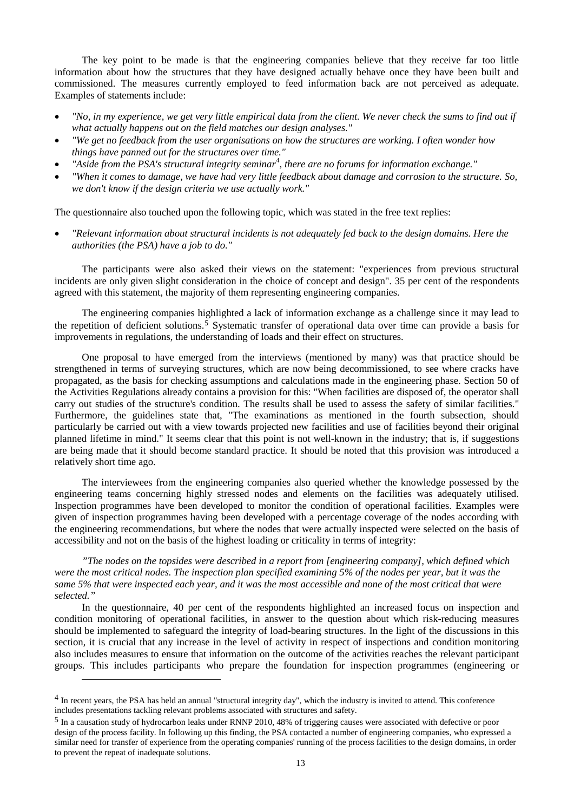The key point to be made is that the engineering companies believe that they receive far too little information about how the structures that they have designed actually behave once they have been built and commissioned. The measures currently employed to feed information back are not perceived as adequate. Examples of statements include:

- *"No, in my experience, we get very little empirical data from the client. We never check the sums to find out if what actually happens out on the field matches our design analyses."*
- *"We get no feedback from the user organisations on how the structures are working. I often wonder how things have panned out for the structures over time."*
- *"Aside from the PSA's structural integrity seminar<sup>[4](#page-12-0)</sup>, there are no forums for information exchange."*
- *"When it comes to damage, we have had very little feedback about damage and corrosion to the structure. So, we don't know if the design criteria we use actually work."*

The questionnaire also touched upon the following topic, which was stated in the free text replies:

• *"Relevant information about structural incidents is not adequately fed back to the design domains. Here the authorities (the PSA) have a job to do."*

The participants were also asked their views on the statement: "experiences from previous structural incidents are only given slight consideration in the choice of concept and design". 35 per cent of the respondents agreed with this statement, the majority of them representing engineering companies.

The engineering companies highlighted a lack of information exchange as a challenge since it may lead to the repetition of deficient solutions.<sup>[5](#page-12-1)</sup> Systematic transfer of operational data over time can provide a basis for improvements in regulations, the understanding of loads and their effect on structures.

One proposal to have emerged from the interviews (mentioned by many) was that practice should be strengthened in terms of surveying structures, which are now being decommissioned, to see where cracks have propagated, as the basis for checking assumptions and calculations made in the engineering phase. Section 50 of the Activities Regulations already contains a provision for this: "When facilities are disposed of, the operator shall carry out studies of the structure's condition. The results shall be used to assess the safety of similar facilities." Furthermore, the guidelines state that, "The examinations as mentioned in the fourth subsection, should particularly be carried out with a view towards projected new facilities and use of facilities beyond their original planned lifetime in mind." It seems clear that this point is not well-known in the industry; that is, if suggestions are being made that it should become standard practice. It should be noted that this provision was introduced a relatively short time ago.

The interviewees from the engineering companies also queried whether the knowledge possessed by the engineering teams concerning highly stressed nodes and elements on the facilities was adequately utilised. Inspection programmes have been developed to monitor the condition of operational facilities. Examples were given of inspection programmes having been developed with a percentage coverage of the nodes according with the engineering recommendations, but where the nodes that were actually inspected were selected on the basis of accessibility and not on the basis of the highest loading or criticality in terms of integrity:

*"The nodes on the topsides were described in a report from [engineering company], which defined which were the most critical nodes. The inspection plan specified examining 5% of the nodes per year, but it was the same 5% that were inspected each year, and it was the most accessible and none of the most critical that were selected."*

In the questionnaire, 40 per cent of the respondents highlighted an increased focus on inspection and condition monitoring of operational facilities, in answer to the question about which risk-reducing measures should be implemented to safeguard the integrity of load-bearing structures. In the light of the discussions in this section, it is crucial that any increase in the level of activity in respect of inspections and condition monitoring also includes measures to ensure that information on the outcome of the activities reaches the relevant participant groups. This includes participants who prepare the foundation for inspection programmes (engineering or

j

<span id="page-12-0"></span><sup>&</sup>lt;sup>4</sup> In recent years, the PSA has held an annual "structural integrity day", which the industry is invited to attend. This conference includes presentations tackling relevant problems associated with structures and safety.

<span id="page-12-1"></span><sup>5</sup> In a causation study of hydrocarbon leaks under RNNP 2010, 48% of triggering causes were associated with defective or poor design of the process facility. In following up this finding, the PSA contacted a number of engineering companies, who expressed a similar need for transfer of experience from the operating companies' running of the process facilities to the design domains, in order to prevent the repeat of inadequate solutions.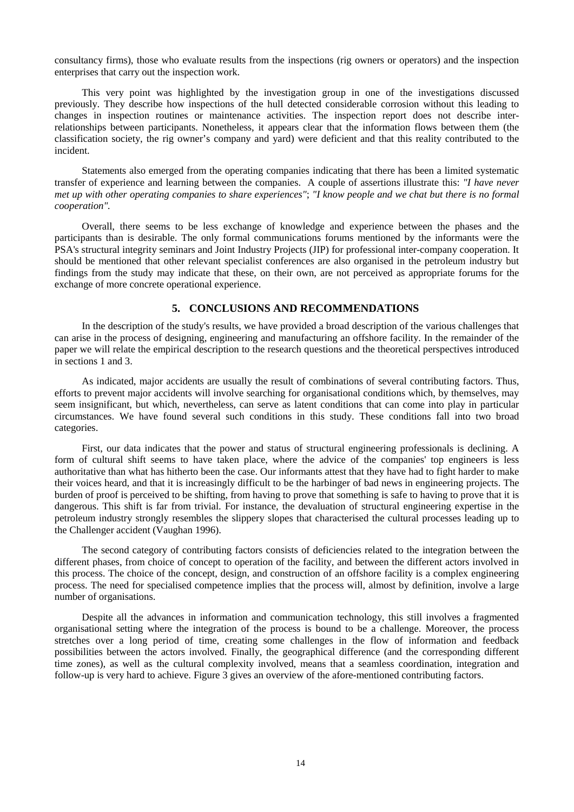consultancy firms), those who evaluate results from the inspections (rig owners or operators) and the inspection enterprises that carry out the inspection work.

This very point was highlighted by the investigation group in one of the investigations discussed previously. They describe how inspections of the hull detected considerable corrosion without this leading to changes in inspection routines or maintenance activities. The inspection report does not describe interrelationships between participants. Nonetheless, it appears clear that the information flows between them (the classification society, the rig owner's company and yard) were deficient and that this reality contributed to the incident.

Statements also emerged from the operating companies indicating that there has been a limited systematic transfer of experience and learning between the companies. A couple of assertions illustrate this: *"I have never met up with other operating companies to share experiences"*; *"I know people and we chat but there is no formal cooperation".*

Overall, there seems to be less exchange of knowledge and experience between the phases and the participants than is desirable. The only formal communications forums mentioned by the informants were the PSA's structural integrity seminars and Joint Industry Projects (JIP) for professional inter-company cooperation. It should be mentioned that other relevant specialist conferences are also organised in the petroleum industry but findings from the study may indicate that these, on their own, are not perceived as appropriate forums for the exchange of more concrete operational experience.

## **5. CONCLUSIONS AND RECOMMENDATIONS**

In the description of the study's results, we have provided a broad description of the various challenges that can arise in the process of designing, engineering and manufacturing an offshore facility. In the remainder of the paper we will relate the empirical description to the research questions and the theoretical perspectives introduced in sections 1 and 3.

As indicated, major accidents are usually the result of combinations of several contributing factors. Thus, efforts to prevent major accidents will involve searching for organisational conditions which, by themselves, may seem insignificant, but which, nevertheless, can serve as latent conditions that can come into play in particular circumstances. We have found several such conditions in this study. These conditions fall into two broad categories.

First, our data indicates that the power and status of structural engineering professionals is declining. A form of cultural shift seems to have taken place, where the advice of the companies' top engineers is less authoritative than what has hitherto been the case. Our informants attest that they have had to fight harder to make their voices heard, and that it is increasingly difficult to be the harbinger of bad news in engineering projects. The burden of proof is perceived to be shifting, from having to prove that something is safe to having to prove that it is dangerous. This shift is far from trivial. For instance, the devaluation of structural engineering expertise in the petroleum industry strongly resembles the slippery slopes that characterised the cultural processes leading up to the Challenger accident (Vaughan 1996).

The second category of contributing factors consists of deficiencies related to the integration between the different phases, from choice of concept to operation of the facility, and between the different actors involved in this process. The choice of the concept, design, and construction of an offshore facility is a complex engineering process. The need for specialised competence implies that the process will, almost by definition, involve a large number of organisations.

Despite all the advances in information and communication technology, this still involves a fragmented organisational setting where the integration of the process is bound to be a challenge. Moreover, the process stretches over a long period of time, creating some challenges in the flow of information and feedback possibilities between the actors involved. Finally, the geographical difference (and the corresponding different time zones), as well as the cultural complexity involved, means that a seamless coordination, integration and follow-up is very hard to achieve. Figure 3 gives an overview of the afore-mentioned contributing factors.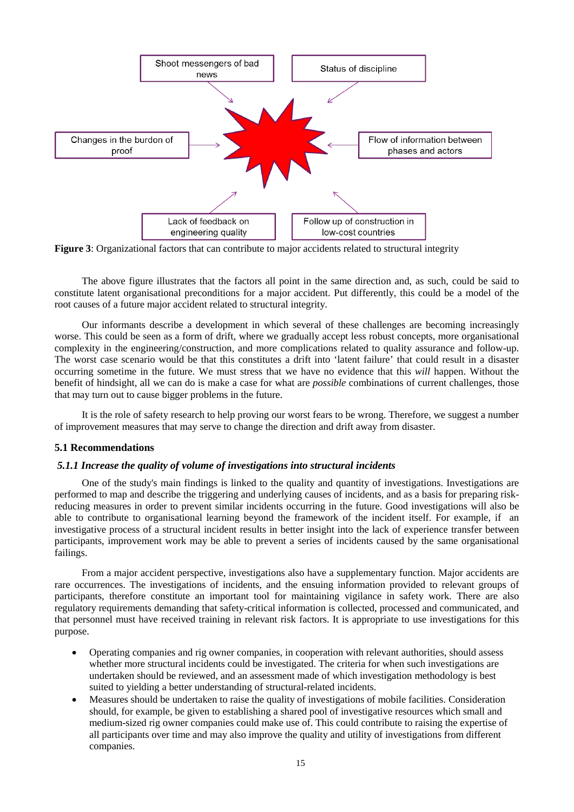

**Figure 3**: Organizational factors that can contribute to major accidents related to structural integrity

The above figure illustrates that the factors all point in the same direction and, as such, could be said to constitute latent organisational preconditions for a major accident. Put differently, this could be a model of the root causes of a future major accident related to structural integrity.

Our informants describe a development in which several of these challenges are becoming increasingly worse. This could be seen as a form of drift, where we gradually accept less robust concepts, more organisational complexity in the engineering/construction, and more complications related to quality assurance and follow-up. The worst case scenario would be that this constitutes a drift into 'latent failure' that could result in a disaster occurring sometime in the future. We must stress that we have no evidence that this *will* happen. Without the benefit of hindsight, all we can do is make a case for what are *possible* combinations of current challenges, those that may turn out to cause bigger problems in the future.

It is the role of safety research to help proving our worst fears to be wrong. Therefore, we suggest a number of improvement measures that may serve to change the direction and drift away from disaster.

#### **5.1 Recommendations**

#### *5.1.1 Increase the quality of volume of investigations into structural incidents*

One of the study's main findings is linked to the quality and quantity of investigations. Investigations are performed to map and describe the triggering and underlying causes of incidents, and as a basis for preparing riskreducing measures in order to prevent similar incidents occurring in the future. Good investigations will also be able to contribute to organisational learning beyond the framework of the incident itself. For example, if an investigative process of a structural incident results in better insight into the lack of experience transfer between participants, improvement work may be able to prevent a series of incidents caused by the same organisational failings.

From a major accident perspective, investigations also have a supplementary function. Major accidents are rare occurrences. The investigations of incidents, and the ensuing information provided to relevant groups of participants, therefore constitute an important tool for maintaining vigilance in safety work. There are also regulatory requirements demanding that safety-critical information is collected, processed and communicated, and that personnel must have received training in relevant risk factors. It is appropriate to use investigations for this purpose.

- Operating companies and rig owner companies, in cooperation with relevant authorities, should assess whether more structural incidents could be investigated. The criteria for when such investigations are undertaken should be reviewed, and an assessment made of which investigation methodology is best suited to yielding a better understanding of structural-related incidents.
- Measures should be undertaken to raise the quality of investigations of mobile facilities. Consideration should, for example, be given to establishing a shared pool of investigative resources which small and medium-sized rig owner companies could make use of. This could contribute to raising the expertise of all participants over time and may also improve the quality and utility of investigations from different companies.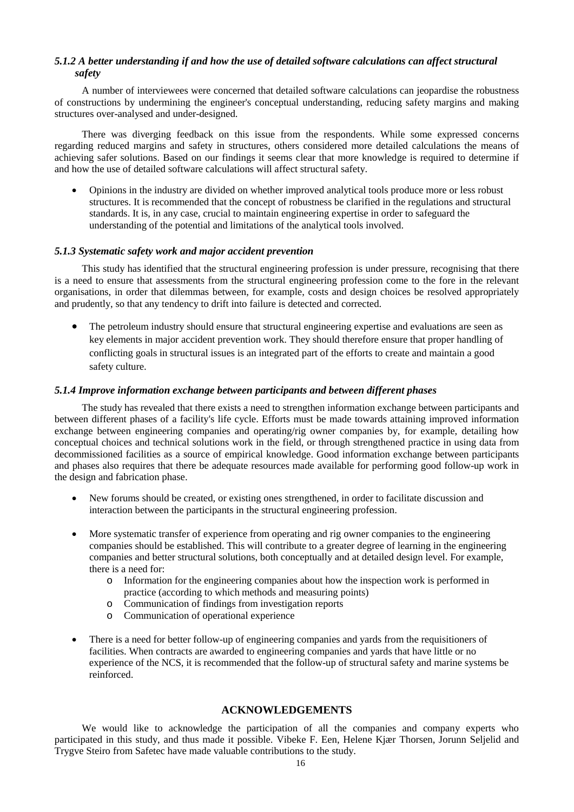# *5.1.2 A better understanding if and how the use of detailed software calculations can affect structural safety*

A number of interviewees were concerned that detailed software calculations can jeopardise the robustness of constructions by undermining the engineer's conceptual understanding, reducing safety margins and making structures over-analysed and under-designed.

There was diverging feedback on this issue from the respondents. While some expressed concerns regarding reduced margins and safety in structures, others considered more detailed calculations the means of achieving safer solutions. Based on our findings it seems clear that more knowledge is required to determine if and how the use of detailed software calculations will affect structural safety.

• Opinions in the industry are divided on whether improved analytical tools produce more or less robust structures. It is recommended that the concept of robustness be clarified in the regulations and structural standards. It is, in any case, crucial to maintain engineering expertise in order to safeguard the understanding of the potential and limitations of the analytical tools involved.

#### *5.1.3 Systematic safety work and major accident prevention*

This study has identified that the structural engineering profession is under pressure, recognising that there is a need to ensure that assessments from the structural engineering profession come to the fore in the relevant organisations, in order that dilemmas between, for example, costs and design choices be resolved appropriately and prudently, so that any tendency to drift into failure is detected and corrected.

• The petroleum industry should ensure that structural engineering expertise and evaluations are seen as key elements in major accident prevention work. They should therefore ensure that proper handling of conflicting goals in structural issues is an integrated part of the efforts to create and maintain a good safety culture.

#### *5.1.4 Improve information exchange between participants and between different phases*

The study has revealed that there exists a need to strengthen information exchange between participants and between different phases of a facility's life cycle. Efforts must be made towards attaining improved information exchange between engineering companies and operating/rig owner companies by, for example, detailing how conceptual choices and technical solutions work in the field, or through strengthened practice in using data from decommissioned facilities as a source of empirical knowledge. Good information exchange between participants and phases also requires that there be adequate resources made available for performing good follow-up work in the design and fabrication phase.

- New forums should be created, or existing ones strengthened, in order to facilitate discussion and interaction between the participants in the structural engineering profession.
- More systematic transfer of experience from operating and rig owner companies to the engineering companies should be established. This will contribute to a greater degree of learning in the engineering companies and better structural solutions, both conceptually and at detailed design level. For example, there is a need for:
	- o Information for the engineering companies about how the inspection work is performed in practice (according to which methods and measuring points)
	- o Communication of findings from investigation reports
	- o Communication of operational experience
- There is a need for better follow-up of engineering companies and yards from the requisitioners of facilities. When contracts are awarded to engineering companies and yards that have little or no experience of the NCS, it is recommended that the follow-up of structural safety and marine systems be reinforced.

# **ACKNOWLEDGEMENTS**

We would like to acknowledge the participation of all the companies and company experts who participated in this study, and thus made it possible. Vibeke F. Een, Helene Kjær Thorsen, Jorunn Seljelid and Trygve Steiro from Safetec have made valuable contributions to the study.